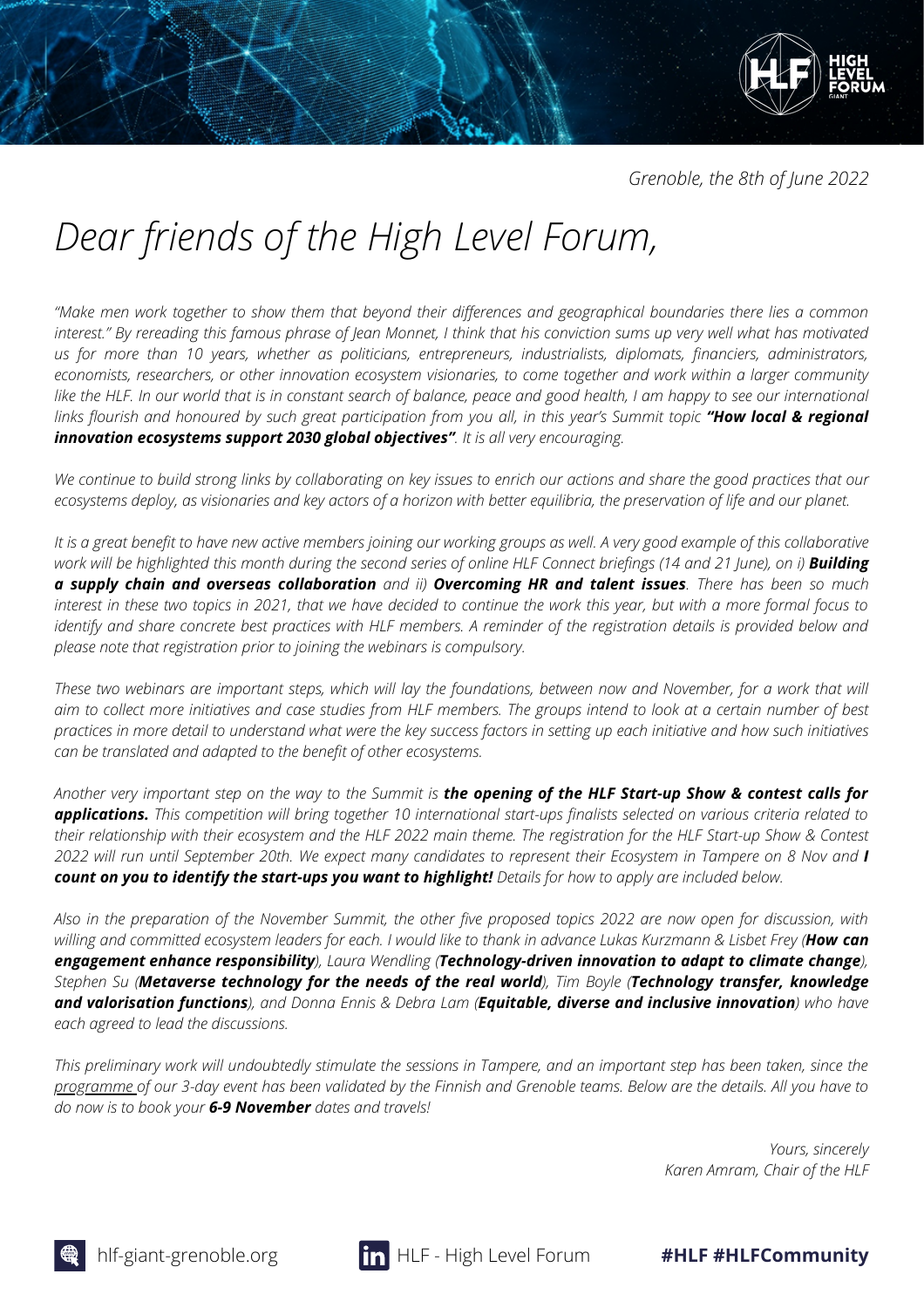*Grenoble, the 8th of June 2022*

# *Dear friends of the High Level Forum,*

"Make men work together to show them that beyond their differences and geographical boundaries there lies a common interest." By rereading this famous phrase of Jean Monnet, I think that his conviction sums up very well what has motivated *us for more than 10 years, whether as politicians, entrepreneurs, industrialists, diplomats, financiers, administrators,* economists, researchers, or other innovation ecosystem visionaries, to come together and work within a larger community like the HLF. In our world that is in constant search of balance, peace and good health, I am happy to see our international links flourish and honoured by such great participation from you all, in this year's Summit topic "How local & regional *innovation ecosystems support 2030 global objectives". It is all very encouraging.*

We continue to build strong links by collaborating on key issues to enrich our actions and share the good practices that our ecosystems deploy, as visionaries and key actors of a horizon with better equilibria, the preservation of life and our planet.

It is a great benefit to have new active members joining our working groups as well. A very good example of this collaborative work will be highlighted this month during the second series of online HLF Connect briefings (14 and 21 June), on i) **Building** a supply chain and overseas collaboration and ii) Overcoming HR and talent issues. There has been so much interest in these two topics in 2021, that we have decided to continue the work this year, but with a more formal focus to identify and share concrete best practices with HLF members. A reminder of the registration details is provided below and *please note that registration prior to joining the webinars is compulsory.*

These two webinars are important steps, which will lay the foundations, between now and November, for a work that will aim to collect more initiatives and case studies from HLF members. The groups intend to look at a certain number of best practices in more detail to understand what were the key success factors in setting up each initiative and how such initiatives *can be translated and adapted to the benefit of other ecosystems.*

Another very important step on the way to the Summit is the opening of the HLF Start-up Show & contest calls for **applications.** This competition will bring together 10 international start-ups finalists selected on various criteria related to their relationship with their ecosystem and the HLF 2022 main theme. The registration for the HLF Start-up Show & Contest 2022 will run until September 20th. We expect many candidates to represent their Ecosystem in Tampere on 8 Nov and I count on you to identify the start-ups you want to highlight! Details for how to apply are included below.

Also in the preparation of the November Summit, the other five proposed topics 2022 are now open for discussion, with willing and committed ecosystem leaders for each. I would like to thank in advance Lukas Kurzmann & Lisbet Frey (How can *engagement enhance responsibility), Laura Wendling (Technology-driven innovation to adapt to climate change),* Stephen Su (Metaverse technology for the needs of the real world), Tim Boyle (Technology transfer, knowledge and valorisation functions), and Donna Ennis & Debra Lam (Equitable, diverse and inclusive innovation) who have *each agreed to lead the discussions.*

This preliminary work will undoubtedly stimulate the sessions in Tampere, and an important step has been taken, since the [programme](https://hlf-giant-grenoble.org/wp-content/uploads/2022/06/Programme-PDF.pdf) of our 3-day event has been validated by the Finnish and Grenoble teams. Below are the details. All you have to *do now is to book your 6-9 November dates and travels!*

> *Yours, sincerely Karen Amram, Chair of the HLF*

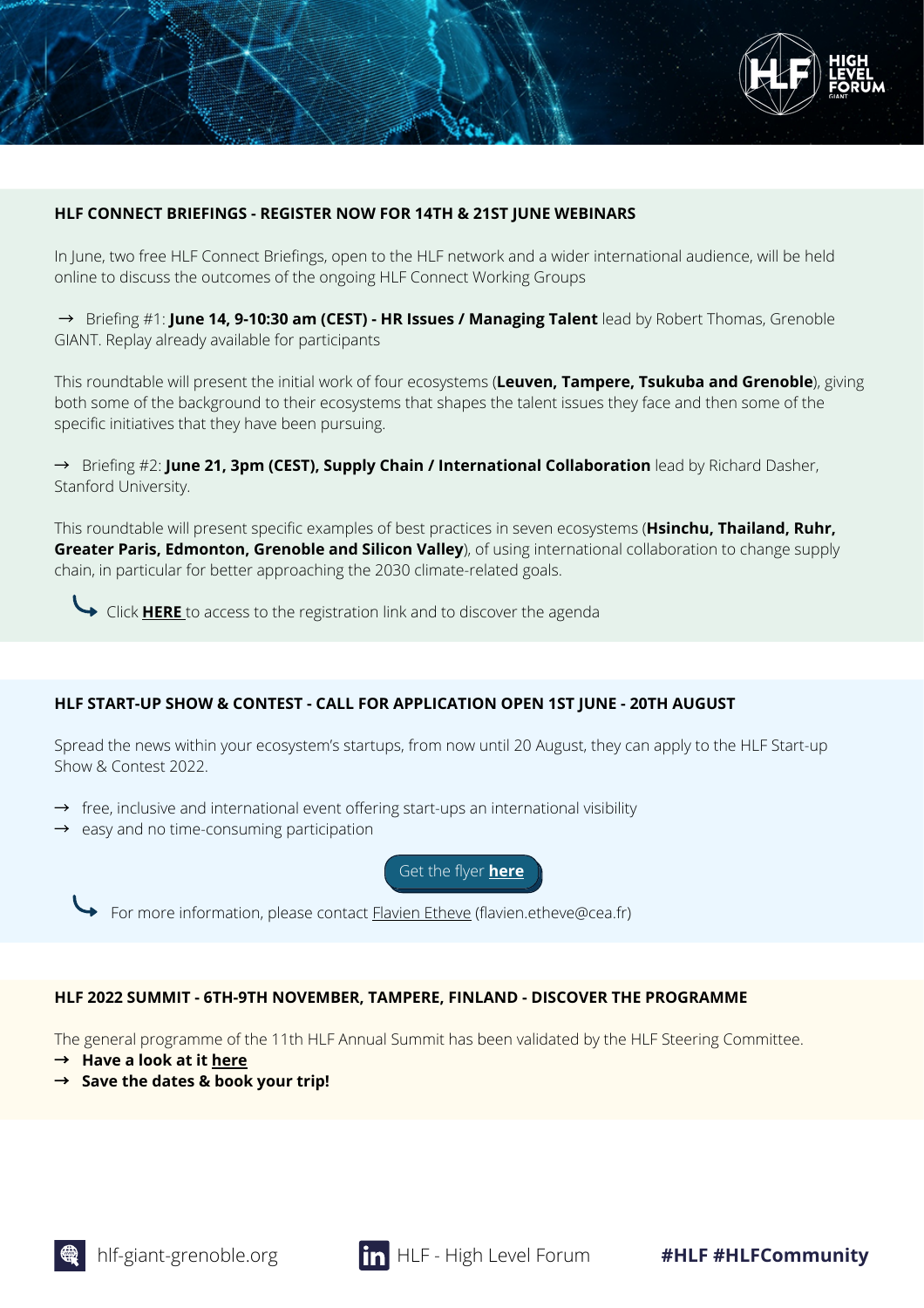

#### **HLF CONNECT BRIEFINGS - REGISTER NOW FOR 14TH & 21ST JUNE WEBINARS**

In June, two free HLF Connect Briefings, open to the HLF network and a wider international audience, will be held online to discuss the outcomes of the ongoing HLF Connect Working Groups

→ Briefing #1: **June 14, 9-10:30 am (CEST) - HR Issues / Managing Talent** lead by Robert Thomas, Grenoble GIANT. Replay already available for participants

This roundtable will present the initial work of four ecosystems (**Leuven, Tampere, Tsukuba and Grenoble**), giving both some of the background to their ecosystems that shapes the talent issues they face and then some of the specific initiatives that they have been pursuing.

→ Briefing #2: **June 21, 3pm (CEST), Supply Chain / International Collaboration** lead by Richard Dasher, Stanford University.

This roundtable will present specific examples of best practices in seven ecosystems (**Hsinchu, Thailand, Ruhr, Greater Paris, Edmonton, Grenoble and Silicon Valley**), of using international collaboration to change supply chain, in particular for better approaching the 2030 climate-related goals.

Click **[HERE](https://hlf-giant-grenoble.org/connect_event/hlf-connect-briefing-2022/)** to access to the registration link and to discover the agenda

## **HLF START-UP SHOW & CONTEST - CALL FOR APPLICATION OPEN 1ST JUNE - 20TH AUGUST**

Spread the news within your ecosystem's startups, from now until 20 August, they can apply to the HLF Start-up Show & Contest 2022.

- $\rightarrow$  free, inclusive and international event offering start-ups an international visibility
- $\rightarrow$  easy and no time-consuming participation

Get the flyer **[here](https://hlf-giant-grenoble.org/wp-content/uploads/2022/06/Flyer-2022-HLF-Start-up-Show-Contest.pdf)**



For more information, please contact **[Flavien](mailto:Flavien.etheve@cea.fr) Etheve** (flavien.etheve@cea.fr)

## **HLF 2022 SUMMIT - 6TH-9TH NOVEMBER, TAMPERE, FINLAND - DISCOVER THE PROGRAMME**

The general programme of the 11th HLF Annual Summit has been validated by the HLF Steering Committee.

- → **Have a look at it [here](https://hlf-giant-grenoble.org/wp-content/uploads/2022/06/Programme-PDF.pdf)**
- → **Save the dates & book your trip!**